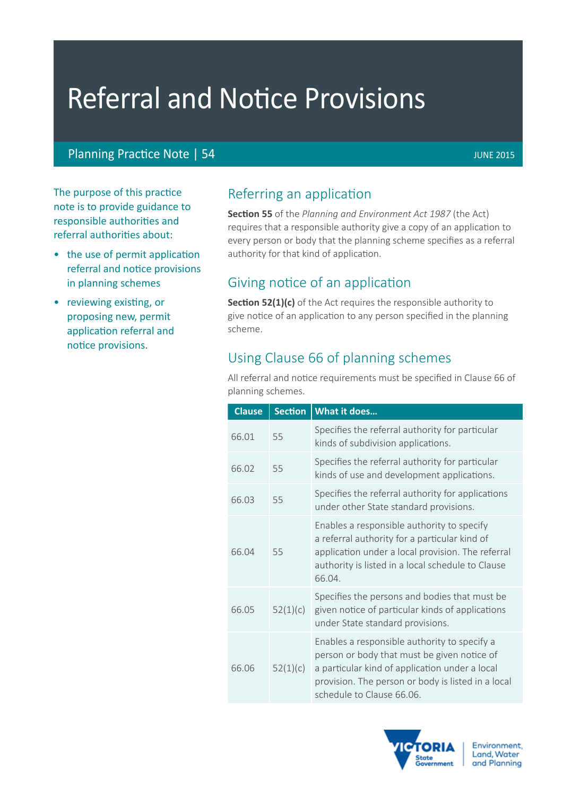# Referral and Notice Provisions

#### Planning Practice Note | 54 JUNE 2015

The purpose of this practice note is to provide guidance to responsible authorities and referral authorities about:

- the use of permit application referral and notice provisions in planning schemes
- reviewing existing, or proposing new, permit application referral and notice provisions.

## Referring an application

**Section 55** of the *Planning and Environment Act 1987* (the Act) requires that a responsible authority give a copy of an application to every person or body that the planning scheme specifies as a referral authority for that kind of application.

## Giving notice of an application

**Section 52(1)(c)** of the Act requires the responsible authority to give notice of an application to any person specified in the planning scheme.

## Using Clause 66 of planning schemes

All referral and notice requirements must be specified in Clause 66 of planning schemes.

| <b>Clause</b> | <b>Section</b> | What it does                                                                                                                                                                                                                     |  |
|---------------|----------------|----------------------------------------------------------------------------------------------------------------------------------------------------------------------------------------------------------------------------------|--|
| 66.01         | 55             | Specifies the referral authority for particular<br>kinds of subdivision applications.                                                                                                                                            |  |
| 66.02         | 55             | Specifies the referral authority for particular<br>kinds of use and development applications.                                                                                                                                    |  |
| 66.03         | 55             | Specifies the referral authority for applications<br>under other State standard provisions.                                                                                                                                      |  |
| 66.04         | 55             | Enables a responsible authority to specify<br>a referral authority for a particular kind of<br>application under a local provision. The referral<br>authority is listed in a local schedule to Clause<br>66.04.                  |  |
| 66.05         | 52(1)(c)       | Specifies the persons and bodies that must be<br>given notice of particular kinds of applications<br>under State standard provisions.                                                                                            |  |
| 66.06         | 52(1)(c)       | Enables a responsible authority to specify a<br>person or body that must be given notice of<br>a particular kind of application under a local<br>provision. The person or body is listed in a local<br>schedule to Clause 66.06. |  |

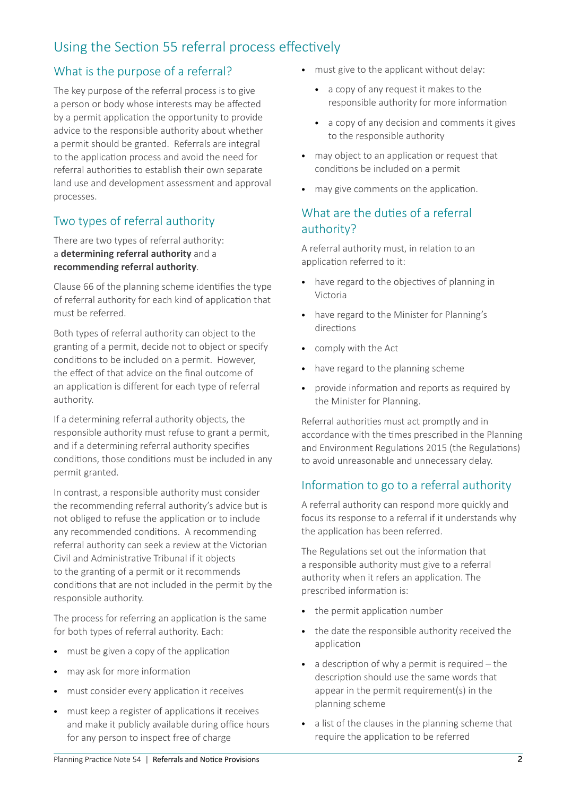## Using the Section 55 referral process effectively

## What is the purpose of a referral?

The key purpose of the referral process is to give a person or body whose interests may be affected by a permit application the opportunity to provide advice to the responsible authority about whether a permit should be granted. Referrals are integral to the application process and avoid the need for referral authorities to establish their own separate land use and development assessment and approval processes.

### Two types of referral authority

There are two types of referral authority: a **determining referral authority** and a **recommending referral authority**.

Clause 66 of the planning scheme identifies the type of referral authority for each kind of application that must be referred.

Both types of referral authority can object to the granting of a permit, decide not to object or specify conditions to be included on a permit. However, the effect of that advice on the final outcome of an application is different for each type of referral authority.

If a determining referral authority objects, the responsible authority must refuse to grant a permit, and if a determining referral authority specifies conditions, those conditions must be included in any permit granted.

In contrast, a responsible authority must consider the recommending referral authority's advice but is not obliged to refuse the application or to include any recommended conditions. A recommending referral authority can seek a review at the Victorian Civil and Administrative Tribunal if it objects to the granting of a permit or it recommends conditions that are not included in the permit by the responsible authority.

The process for referring an application is the same for both types of referral authority. Each:

- must be given a copy of the application
- may ask for more information
- must consider every application it receives
- must keep a register of applications it receives and make it publicly available during office hours for any person to inspect free of charge
- must give to the applicant without delay:
	- • a copy of any request it makes to the responsible authority for more information
	- • a copy of any decision and comments it gives to the responsible authority
- may object to an application or request that conditions be included on a permit
- may give comments on the application.

#### What are the duties of a referral authority?

A referral authority must, in relation to an application referred to it:

- have regard to the objectives of planning in Victoria
- • have regard to the Minister for Planning's directions
- • comply with the Act
- have regard to the planning scheme
- • provide information and reports as required by the Minister for Planning.

Referral authorities must act promptly and in accordance with the times prescribed in the Planning and Environment Regulations 2015 (the Regulations) to avoid unreasonable and unnecessary delay.

### Information to go to a referral authority

A referral authority can respond more quickly and focus its response to a referral if it understands why the application has been referred.

The Regulations set out the information that a responsible authority must give to a referral authority when it refers an application. The prescribed information is:

- • the permit application number
- the date the responsible authority received the application
- $\bullet$  a description of why a permit is required the description should use the same words that appear in the permit requirement(s) in the planning scheme
- a list of the clauses in the planning scheme that require the application to be referred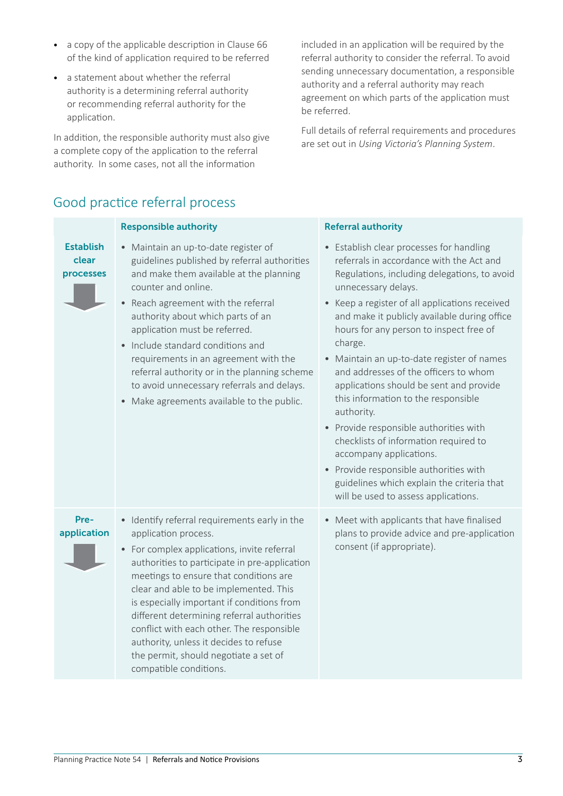- a copy of the applicable description in Clause 66 of the kind of application required to be referred
- • a statement about whether the referral authority is a determining referral authority or recommending referral authority for the application.

In addition, the responsible authority must also give a complete copy of the application to the referral authority. In some cases, not all the information

included in an application will be required by the referral authority to consider the referral. To avoid sending unnecessary documentation, a responsible authority and a referral authority may reach agreement on which parts of the application must be referred.

Full details of referral requirements and procedures are set out in *Using Victoria's Planning System*.

## Good practice referral process

|                                        | <b>Responsible authority</b>                                                                                                                                                                                                                                                                                                                                                                                                                                                                                               | <b>Referral authority</b>                                                                                                                                                                                                                                                                                                                                                                                                                                                                                                                                                                                                                                                                                                                                |
|----------------------------------------|----------------------------------------------------------------------------------------------------------------------------------------------------------------------------------------------------------------------------------------------------------------------------------------------------------------------------------------------------------------------------------------------------------------------------------------------------------------------------------------------------------------------------|----------------------------------------------------------------------------------------------------------------------------------------------------------------------------------------------------------------------------------------------------------------------------------------------------------------------------------------------------------------------------------------------------------------------------------------------------------------------------------------------------------------------------------------------------------------------------------------------------------------------------------------------------------------------------------------------------------------------------------------------------------|
| <b>Establish</b><br>clear<br>processes | • Maintain an up-to-date register of<br>guidelines published by referral authorities<br>and make them available at the planning<br>counter and online.<br>Reach agreement with the referral<br>authority about which parts of an<br>application must be referred.<br>Include standard conditions and<br>requirements in an agreement with the<br>referral authority or in the planning scheme<br>to avoid unnecessary referrals and delays.<br>Make agreements available to the public.<br>$\bullet$                       | • Establish clear processes for handling<br>referrals in accordance with the Act and<br>Regulations, including delegations, to avoid<br>unnecessary delays.<br>• Keep a register of all applications received<br>and make it publicly available during office<br>hours for any person to inspect free of<br>charge.<br>• Maintain an up-to-date register of names<br>and addresses of the officers to whom<br>applications should be sent and provide<br>this information to the responsible<br>authority.<br>• Provide responsible authorities with<br>checklists of information required to<br>accompany applications.<br>• Provide responsible authorities with<br>guidelines which explain the criteria that<br>will be used to assess applications. |
| Pre-<br>application                    | • Identify referral requirements early in the<br>application process.<br>For complex applications, invite referral<br>$\bullet$<br>authorities to participate in pre-application<br>meetings to ensure that conditions are<br>clear and able to be implemented. This<br>is especially important if conditions from<br>different determining referral authorities<br>conflict with each other. The responsible<br>authority, unless it decides to refuse<br>the permit, should negotiate a set of<br>compatible conditions. | • Meet with applicants that have finalised<br>plans to provide advice and pre-application<br>consent (if appropriate).                                                                                                                                                                                                                                                                                                                                                                                                                                                                                                                                                                                                                                   |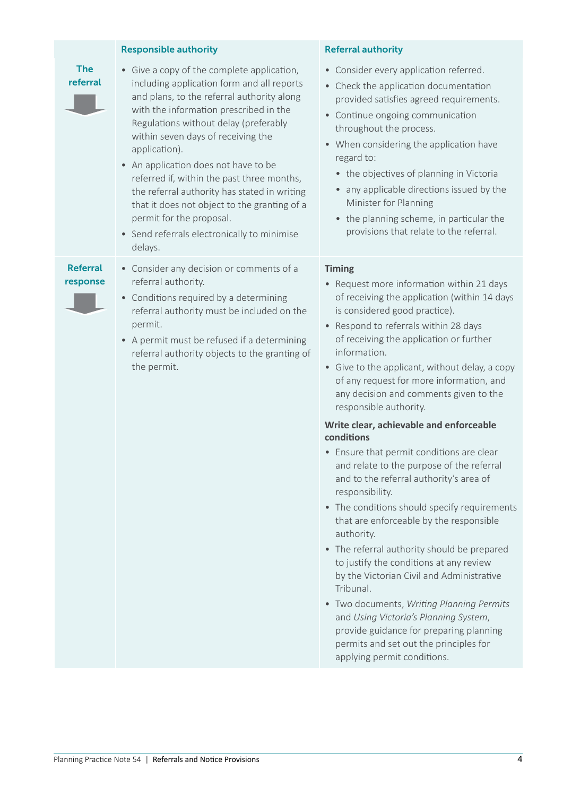|                             | <b>Responsible authority</b>                                                                                                                                                                                                                                                                                                                                                                                                                                                                                                                                 | <b>Referral authority</b>                                                                                                                                                                                                                                                                                                                                                                                                                                                                                                                                                                                                                                                                                                                                                                                                                                                                                                                                                                                                                                                                                 |
|-----------------------------|--------------------------------------------------------------------------------------------------------------------------------------------------------------------------------------------------------------------------------------------------------------------------------------------------------------------------------------------------------------------------------------------------------------------------------------------------------------------------------------------------------------------------------------------------------------|-----------------------------------------------------------------------------------------------------------------------------------------------------------------------------------------------------------------------------------------------------------------------------------------------------------------------------------------------------------------------------------------------------------------------------------------------------------------------------------------------------------------------------------------------------------------------------------------------------------------------------------------------------------------------------------------------------------------------------------------------------------------------------------------------------------------------------------------------------------------------------------------------------------------------------------------------------------------------------------------------------------------------------------------------------------------------------------------------------------|
| <b>The</b><br>referral      | • Give a copy of the complete application,<br>including application form and all reports<br>and plans, to the referral authority along<br>with the information prescribed in the<br>Regulations without delay (preferably<br>within seven days of receiving the<br>application).<br>• An application does not have to be<br>referred if, within the past three months,<br>the referral authority has stated in writing<br>that it does not object to the granting of a<br>permit for the proposal.<br>• Send referrals electronically to minimise<br>delays. | • Consider every application referred.<br>• Check the application documentation<br>provided satisfies agreed requirements.<br>• Continue ongoing communication<br>throughout the process.<br>• When considering the application have<br>regard to:<br>• the objectives of planning in Victoria<br>any applicable directions issued by the<br>Minister for Planning<br>• the planning scheme, in particular the<br>provisions that relate to the referral.                                                                                                                                                                                                                                                                                                                                                                                                                                                                                                                                                                                                                                                 |
| <b>Referral</b><br>response | • Consider any decision or comments of a<br>referral authority.<br>• Conditions required by a determining<br>referral authority must be included on the<br>permit.<br>• A permit must be refused if a determining<br>referral authority objects to the granting of<br>the permit.                                                                                                                                                                                                                                                                            | <b>Timing</b><br>• Request more information within 21 days<br>of receiving the application (within 14 days<br>is considered good practice).<br>• Respond to referrals within 28 days<br>of receiving the application or further<br>information.<br>• Give to the applicant, without delay, a copy<br>of any request for more information, and<br>any decision and comments given to the<br>responsible authority.<br>Write clear, achievable and enforceable<br>conditions<br>• Ensure that permit conditions are clear<br>and relate to the purpose of the referral<br>and to the referral authority's area of<br>responsibility.<br>• The conditions should specify requirements<br>that are enforceable by the responsible<br>authority.<br>• The referral authority should be prepared<br>to justify the conditions at any review<br>by the Victorian Civil and Administrative<br>Tribunal.<br>• Two documents, Writing Planning Permits<br>and Using Victoria's Planning System,<br>provide guidance for preparing planning<br>permits and set out the principles for<br>applying permit conditions. |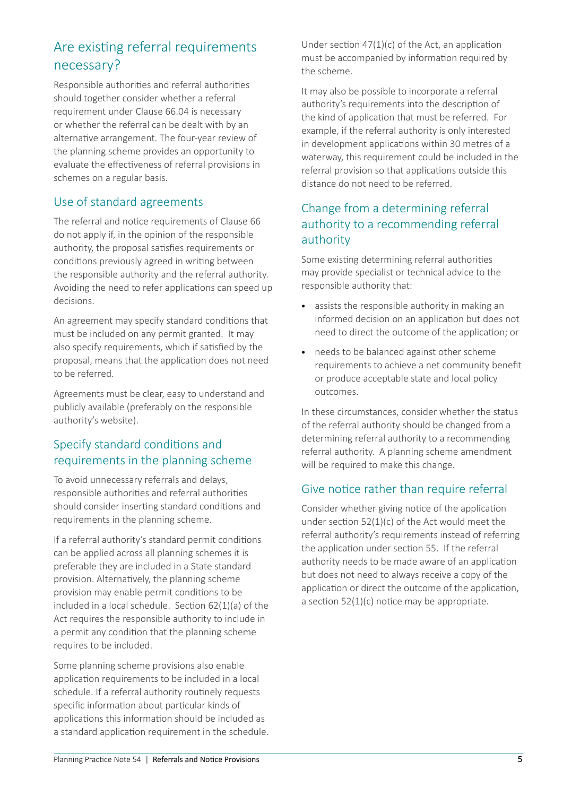## Are existing referral requirements necessary?

Responsible authorities and referral authorities should together consider whether a referral requirement under Clause 66.04 is necessary or whether the referral can be dealt with by an alternative arrangement. The four-year review of the planning scheme provides an opportunity to evaluate the effectiveness of referral provisions in schemes on a regular basis.

#### Use of standard agreements

The referral and notice requirements of Clause 66 do not apply if, in the opinion of the responsible authority, the proposal satisfies requirements or conditions previously agreed in writing between the responsible authority and the referral authority. Avoiding the need to refer applications can speed up decisions.

An agreement may specify standard conditions that must be included on any permit granted. It may also specify requirements, which if satisfied by the proposal, means that the application does not need to be referred.

Agreements must be clear, easy to understand and publicly available (preferably on the responsible authority's website).

### Specify standard conditions and requirements in the planning scheme

To avoid unnecessary referrals and delays, responsible authorities and referral authorities should consider inserting standard conditions and requirements in the planning scheme.

If a referral authority's standard permit conditions can be applied across all planning schemes it is preferable they are included in a State standard provision. Alternatively, the planning scheme provision may enable permit conditions to be included in a local schedule. Section 62(1)(a) of the Act requires the responsible authority to include in a permit any condition that the planning scheme requires to be included.

Some planning scheme provisions also enable application requirements to be included in a local schedule. If a referral authority routinely requests specific information about particular kinds of applications this information should be included as a standard application requirement in the schedule.

Under section 47(1)(c) of the Act, an application must be accompanied by information required by the scheme.

It may also be possible to incorporate a referral authority's requirements into the description of the kind of application that must be referred. For example, if the referral authority is only interested in development applications within 30 metres of a waterway, this requirement could be included in the referral provision so that applications outside this distance do not need to be referred.

#### Change from a determining referral authority to a recommending referral authority

Some existing determining referral authorities may provide specialist or technical advice to the responsible authority that:

- • assists the responsible authority in making an informed decision on an application but does not need to direct the outcome of the application; or
- needs to be balanced against other scheme requirements to achieve a net community benefit or produce acceptable state and local policy outcomes.

In these circumstances, consider whether the status of the referral authority should be changed from a determining referral authority to a recommending referral authority. A planning scheme amendment will be required to make this change.

#### Give notice rather than require referral

Consider whether giving notice of the application under section 52(1)(c) of the Act would meet the referral authority's requirements instead of referring the application under section 55. If the referral authority needs to be made aware of an application but does not need to always receive a copy of the application or direct the outcome of the application, a section 52(1)(c) notice may be appropriate.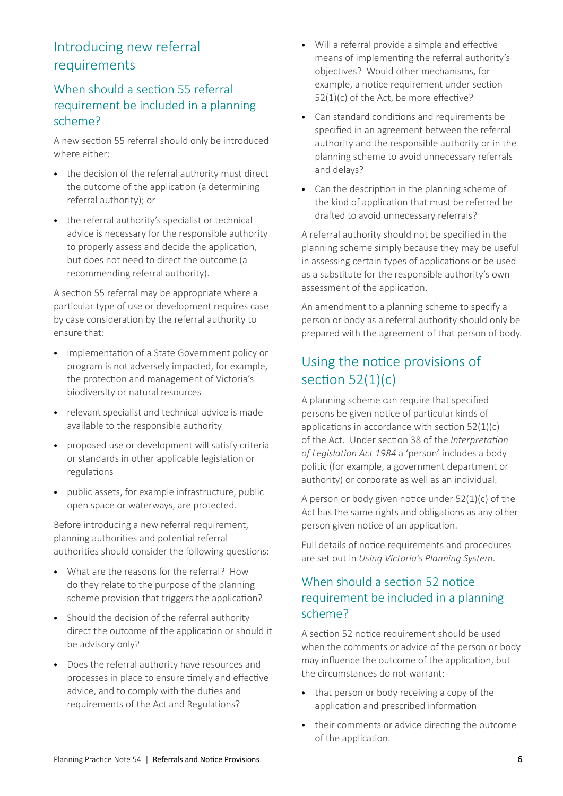## Introducing new referral requirements

#### When should a section 55 referral requirement be included in a planning scheme?

A new section 55 referral should only be introduced where either:

- the decision of the referral authority must direct the outcome of the application (a determining referral authority); or
- the referral authority's specialist or technical advice is necessary for the responsible authority to properly assess and decide the application, but does not need to direct the outcome (a recommending referral authority).

A section 55 referral may be appropriate where a particular type of use or development requires case by case consideration by the referral authority to ensure that:

- implementation of a State Government policy or program is not adversely impacted, for example, the protection and management of Victoria's biodiversity or natural resources
- • relevant specialist and technical advice is made available to the responsible authority
- • proposed use or development will satisfy criteria or standards in other applicable legislation or regulations
- • public assets, for example infrastructure, public open space or waterways, are protected.

Before introducing a new referral requirement, planning authorities and potential referral authorities should consider the following questions:

- • What are the reasons for the referral? How do they relate to the purpose of the planning scheme provision that triggers the application?
- Should the decision of the referral authority direct the outcome of the application or should it be advisory only?
- • Does the referral authority have resources and processes in place to ensure timely and effective advice, and to comply with the duties and requirements of the Act and Regulations?
- • Will a referral provide a simple and effective means of implementing the referral authority's objectives? Would other mechanisms, for example, a notice requirement under section 52(1)(c) of the Act, be more effective?
- • Can standard conditions and requirements be specified in an agreement between the referral authority and the responsible authority or in the planning scheme to avoid unnecessary referrals and delays?
- Can the description in the planning scheme of the kind of application that must be referred be drafted to avoid unnecessary referrals?

A referral authority should not be specified in the planning scheme simply because they may be useful in assessing certain types of applications or be used as a substitute for the responsible authority's own assessment of the application.

An amendment to a planning scheme to specify a person or body as a referral authority should only be prepared with the agreement of that person of body.

## Using the notice provisions of section  $52(1)(c)$

A planning scheme can require that specified persons be given notice of particular kinds of applications in accordance with section 52(1)(c) of the Act. Under section 38 of the *Interpretation of Legislation Act 1984* a 'person' includes a body politic (for example, a government department or authority) or corporate as well as an individual.

A person or body given notice under 52(1)(c) of the Act has the same rights and obligations as any other person given notice of an application.

Full details of notice requirements and procedures are set out in *Using Victoria's Planning System*.

### When should a section 52 notice requirement be included in a planning scheme?

A section 52 notice requirement should be used when the comments or advice of the person or body may influence the outcome of the application, but the circumstances do not warrant:

- that person or body receiving a copy of the application and prescribed information
- their comments or advice directing the outcome of the application.